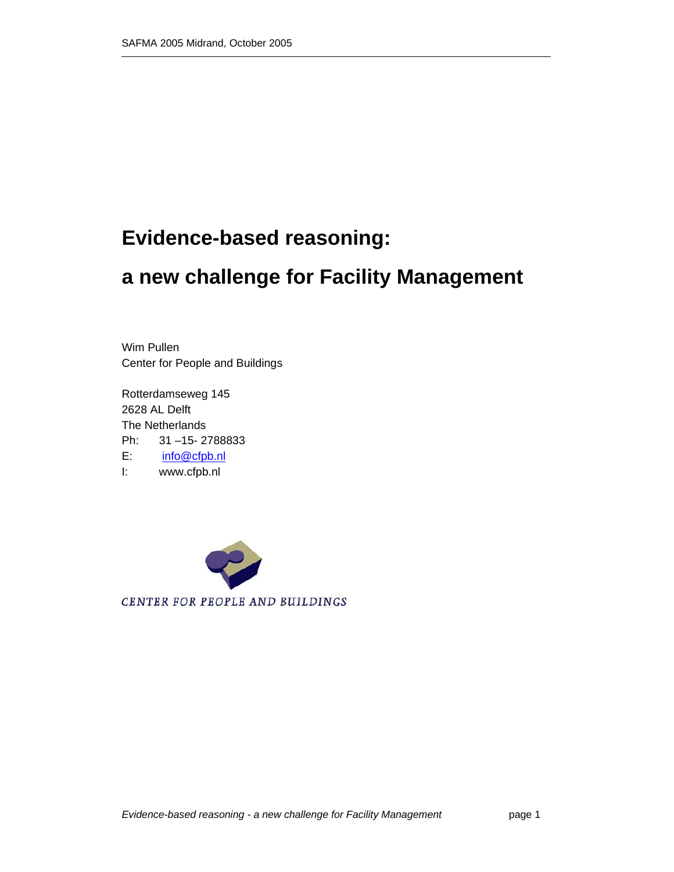# **Evidence-based reasoning:**

# **a new challenge for Facility Management**

Wim Pullen Center for People and Buildings

Rotterdamseweg 145 2628 AL Delft The Netherlands Ph: 31 –15- 2788833 E: info@cfpb.nl I: www.cfpb.nl

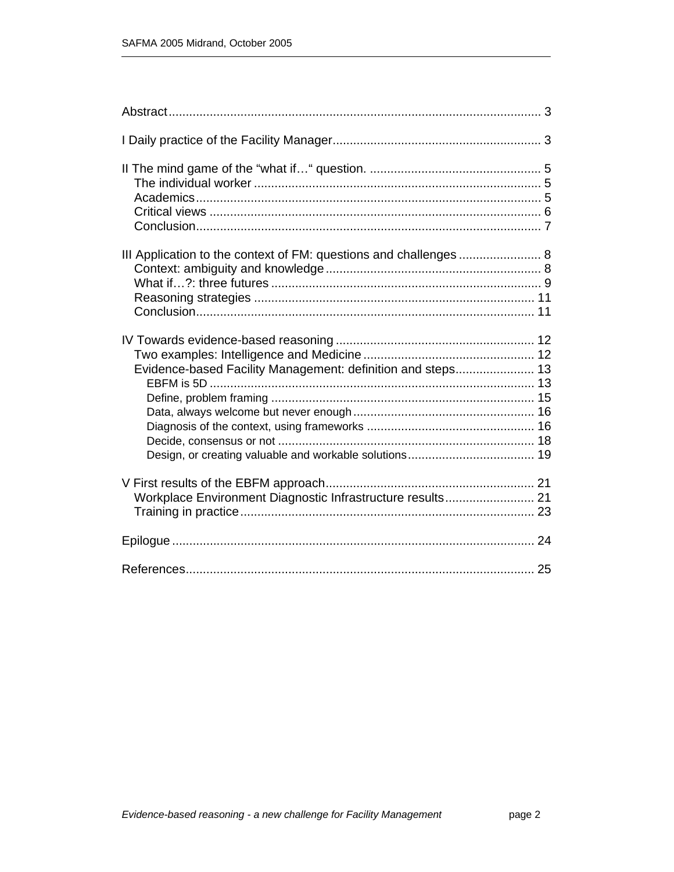| Evidence-based Facility Management: definition and steps 13 |  |
|-------------------------------------------------------------|--|
| Workplace Environment Diagnostic Infrastructure results 21  |  |
|                                                             |  |
|                                                             |  |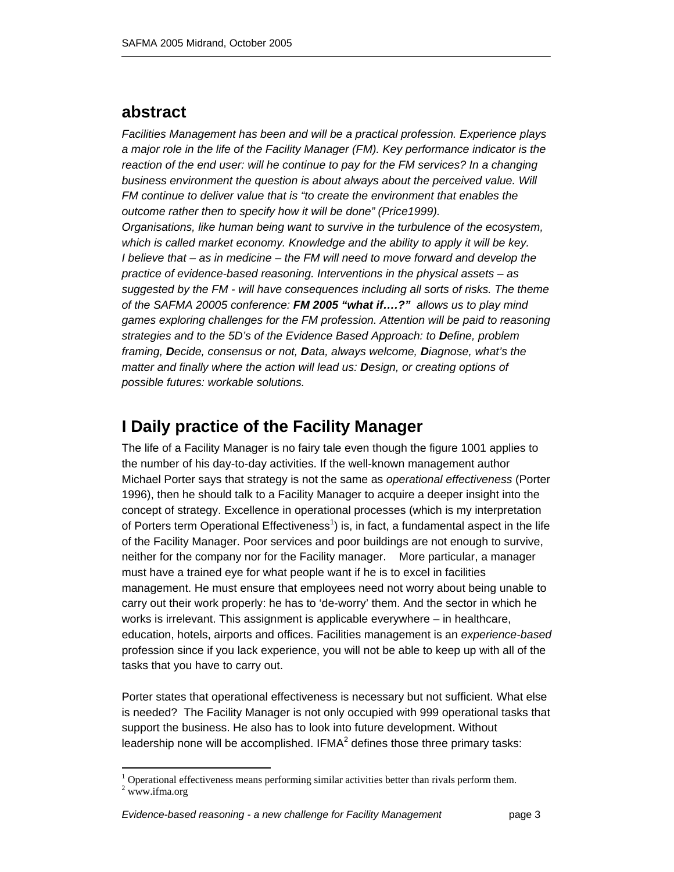## **abstract**

*Facilities Management has been and will be a practical profession. Experience plays a major role in the life of the Facility Manager (FM). Key performance indicator is the reaction of the end user: will he continue to pay for the FM services? In a changing business environment the question is about always about the perceived value. Will FM continue to deliver value that is "to create the environment that enables the outcome rather then to specify how it will be done" (Price1999). Organisations, like human being want to survive in the turbulence of the ecosystem, which is called market economy. Knowledge and the ability to apply it will be key. I believe that – as in medicine – the FM will need to move forward and develop the practice of evidence-based reasoning. Interventions in the physical assets – as suggested by the FM - will have consequences including all sorts of risks. The theme of the SAFMA 20005 conference: FM 2005 "what if….?" allows us to play mind games exploring challenges for the FM profession. Attention will be paid to reasoning strategies and to the 5D's of the Evidence Based Approach: to Define, problem framing, Decide, consensus or not, Data, always welcome, Diagnose, what's the matter and finally where the action will lead us: Design, or creating options of possible futures: workable solutions.* 

## **I Daily practice of the Facility Manager**

The life of a Facility Manager is no fairy tale even though the figure 1001 applies to the number of his day-to-day activities. If the well-known management author Michael Porter says that strategy is not the same as *operational effectiveness* (Porter 1996), then he should talk to a Facility Manager to acquire a deeper insight into the concept of strategy. Excellence in operational processes (which is my interpretation of Porters term Operational Effectiveness<sup>1</sup>) is, in fact, a fundamental aspect in the life of the Facility Manager. Poor services and poor buildings are not enough to survive, neither for the company nor for the Facility manager. More particular, a manager must have a trained eye for what people want if he is to excel in facilities management. He must ensure that employees need not worry about being unable to carry out their work properly: he has to 'de-worry' them. And the sector in which he works is irrelevant. This assignment is applicable everywhere – in healthcare, education, hotels, airports and offices. Facilities management is an *experience-based*  profession since if you lack experience, you will not be able to keep up with all of the tasks that you have to carry out.

Porter states that operational effectiveness is necessary but not sufficient. What else is needed? The Facility Manager is not only occupied with 999 operational tasks that support the business. He also has to look into future development. Without leadership none will be accomplished. IFMA $2$  defines those three primary tasks:

 $\overline{a}$ 

 $1$  Operational effectiveness means performing similar activities better than rivals perform them.

 $2$  www.ifma.org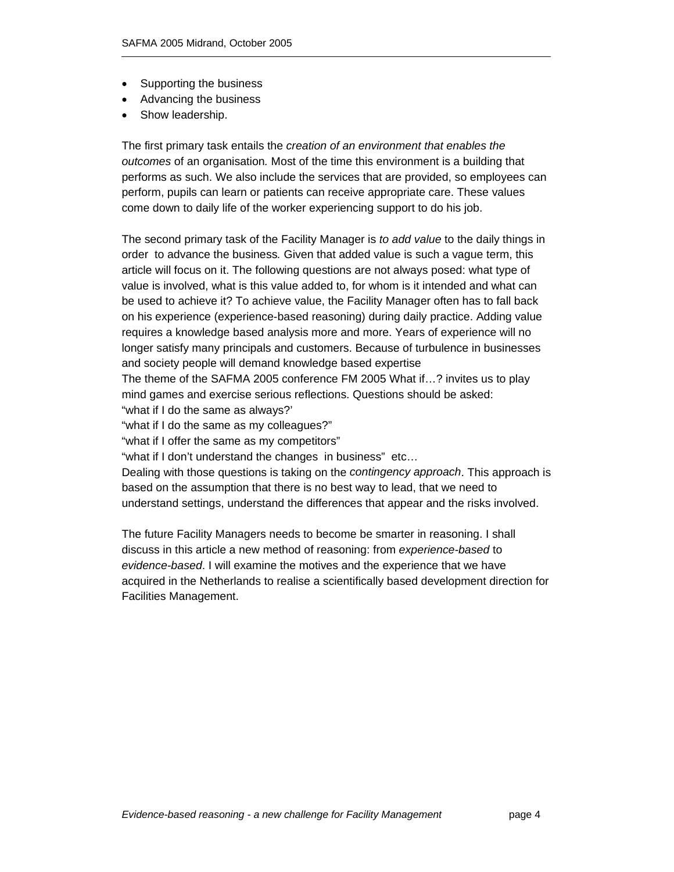- Supporting the business
- Advancing the business
- Show leadership.

The first primary task entails the *creation of an environment that enables the outcomes* of an organisation*.* Most of the time this environment is a building that performs as such. We also include the services that are provided, so employees can perform, pupils can learn or patients can receive appropriate care. These values come down to daily life of the worker experiencing support to do his job.

The second primary task of the Facility Manager is *to add value* to the daily things in order to advance the business*.* Given that added value is such a vague term, this article will focus on it. The following questions are not always posed: what type of value is involved, what is this value added to, for whom is it intended and what can be used to achieve it? To achieve value, the Facility Manager often has to fall back on his experience (experience-based reasoning) during daily practice. Adding value requires a knowledge based analysis more and more. Years of experience will no longer satisfy many principals and customers. Because of turbulence in businesses and society people will demand knowledge based expertise

The theme of the SAFMA 2005 conference FM 2005 What if…? invites us to play mind games and exercise serious reflections. Questions should be asked: "what if I do the same as always?'

"what if I do the same as my colleagues?"

"what if I offer the same as my competitors"

"what if I don't understand the changes in business" etc…

Dealing with those questions is taking on the *contingency approach*. This approach is based on the assumption that there is no best way to lead, that we need to understand settings, understand the differences that appear and the risks involved.

The future Facility Managers needs to become be smarter in reasoning. I shall discuss in this article a new method of reasoning: from *experience-based* to *evidence-based*. I will examine the motives and the experience that we have acquired in the Netherlands to realise a scientifically based development direction for Facilities Management.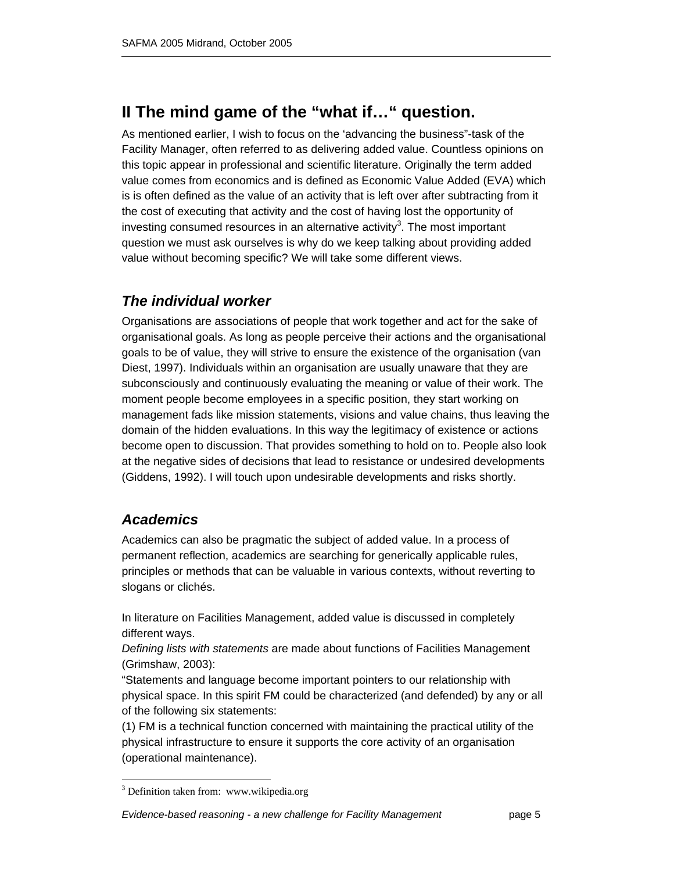## **II The mind game of the "what if…" question.**

As mentioned earlier, I wish to focus on the 'advancing the business"-task of the Facility Manager, often referred to as delivering added value. Countless opinions on this topic appear in professional and scientific literature. Originally the term added value comes from economics and is defined as Economic Value Added (EVA) which is is often defined as the value of an activity that is left over after subtracting from it the cost of executing that activity and the cost of having lost the opportunity of investing consumed resources in an alternative activity<sup>3</sup>. The most important question we must ask ourselves is why do we keep talking about providing added value without becoming specific? We will take some different views.

## *The individual worker*

Organisations are associations of people that work together and act for the sake of organisational goals. As long as people perceive their actions and the organisational goals to be of value, they will strive to ensure the existence of the organisation (van Diest, 1997). Individuals within an organisation are usually unaware that they are subconsciously and continuously evaluating the meaning or value of their work. The moment people become employees in a specific position, they start working on management fads like mission statements, visions and value chains, thus leaving the domain of the hidden evaluations. In this way the legitimacy of existence or actions become open to discussion. That provides something to hold on to. People also look at the negative sides of decisions that lead to resistance or undesired developments (Giddens, 1992). I will touch upon undesirable developments and risks shortly.

## *Academics*

 $\overline{a}$ 

Academics can also be pragmatic the subject of added value. In a process of permanent reflection, academics are searching for generically applicable rules, principles or methods that can be valuable in various contexts, without reverting to slogans or clichés.

In literature on Facilities Management, added value is discussed in completely different ways.

*Defining lists with statements* are made about functions of Facilities Management (Grimshaw, 2003):

"Statements and language become important pointers to our relationship with physical space. In this spirit FM could be characterized (and defended) by any or all of the following six statements:

(1) FM is a technical function concerned with maintaining the practical utility of the physical infrastructure to ensure it supports the core activity of an organisation (operational maintenance).

<sup>&</sup>lt;sup>3</sup> Definition taken from: www.wikipedia.org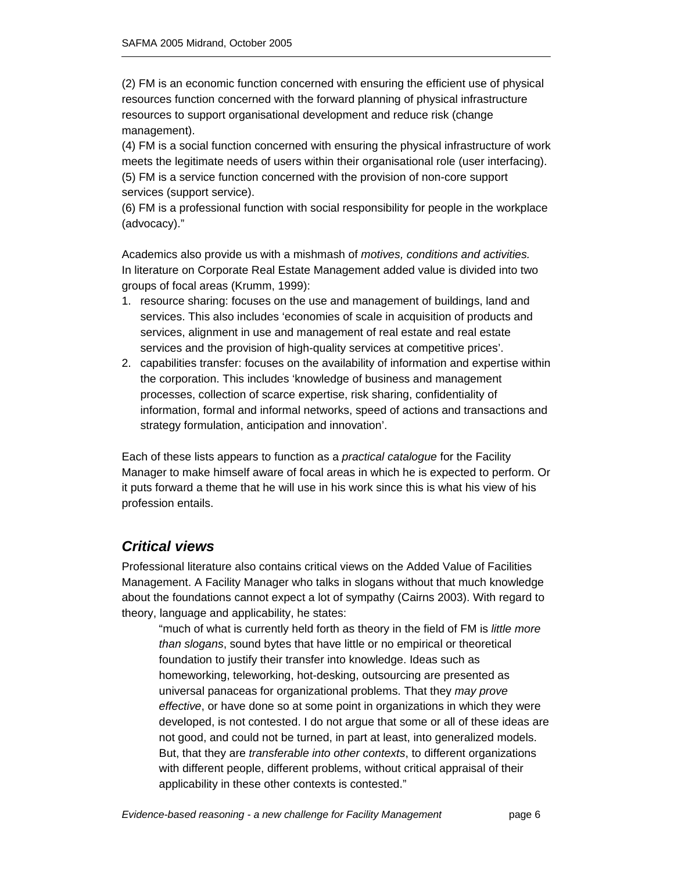(2) FM is an economic function concerned with ensuring the efficient use of physical resources function concerned with the forward planning of physical infrastructure resources to support organisational development and reduce risk (change management).

(4) FM is a social function concerned with ensuring the physical infrastructure of work meets the legitimate needs of users within their organisational role (user interfacing). (5) FM is a service function concerned with the provision of non-core support services (support service).

(6) FM is a professional function with social responsibility for people in the workplace (advocacy)."

Academics also provide us with a mishmash of *motives, conditions and activities.*  In literature on Corporate Real Estate Management added value is divided into two groups of focal areas (Krumm, 1999):

- 1. resource sharing: focuses on the use and management of buildings, land and services. This also includes 'economies of scale in acquisition of products and services, alignment in use and management of real estate and real estate services and the provision of high-quality services at competitive prices'.
- 2. capabilities transfer: focuses on the availability of information and expertise within the corporation. This includes 'knowledge of business and management processes, collection of scarce expertise, risk sharing, confidentiality of information, formal and informal networks, speed of actions and transactions and strategy formulation, anticipation and innovation'.

Each of these lists appears to function as a *practical catalogue* for the Facility Manager to make himself aware of focal areas in which he is expected to perform. Or it puts forward a theme that he will use in his work since this is what his view of his profession entails.

### *Critical views*

Professional literature also contains critical views on the Added Value of Facilities Management. A Facility Manager who talks in slogans without that much knowledge about the foundations cannot expect a lot of sympathy (Cairns 2003). With regard to theory, language and applicability, he states:

"much of what is currently held forth as theory in the field of FM is *little more than slogans*, sound bytes that have little or no empirical or theoretical foundation to justify their transfer into knowledge. Ideas such as homeworking, teleworking, hot-desking, outsourcing are presented as universal panaceas for organizational problems. That they *may prove effective*, or have done so at some point in organizations in which they were developed, is not contested. I do not argue that some or all of these ideas are not good, and could not be turned, in part at least, into generalized models. But, that they are *transferable into other contexts*, to different organizations with different people, different problems, without critical appraisal of their applicability in these other contexts is contested."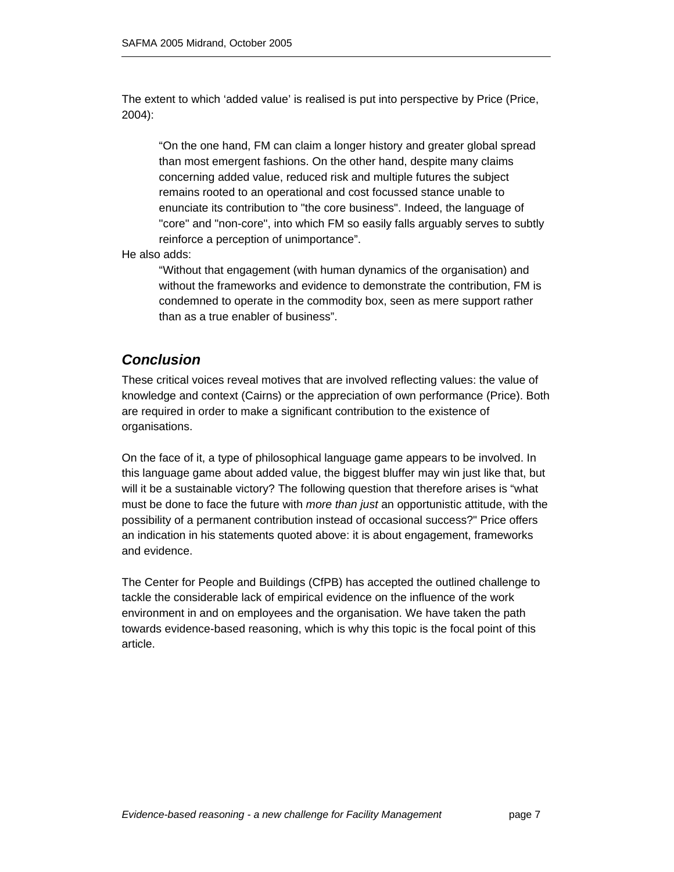The extent to which 'added value' is realised is put into perspective by Price (Price, 2004):

"On the one hand, FM can claim a longer history and greater global spread than most emergent fashions. On the other hand, despite many claims concerning added value, reduced risk and multiple futures the subject remains rooted to an operational and cost focussed stance unable to enunciate its contribution to "the core business". Indeed, the language of "core" and "non-core", into which FM so easily falls arguably serves to subtly reinforce a perception of unimportance".

He also adds:

"Without that engagement (with human dynamics of the organisation) and without the frameworks and evidence to demonstrate the contribution, FM is condemned to operate in the commodity box, seen as mere support rather than as a true enabler of business".

### *Conclusion*

These critical voices reveal motives that are involved reflecting values: the value of knowledge and context (Cairns) or the appreciation of own performance (Price). Both are required in order to make a significant contribution to the existence of organisations.

On the face of it, a type of philosophical language game appears to be involved. In this language game about added value, the biggest bluffer may win just like that, but will it be a sustainable victory? The following question that therefore arises is "what must be done to face the future with *more than just* an opportunistic attitude, with the possibility of a permanent contribution instead of occasional success?" Price offers an indication in his statements quoted above: it is about engagement, frameworks and evidence.

The Center for People and Buildings (CfPB) has accepted the outlined challenge to tackle the considerable lack of empirical evidence on the influence of the work environment in and on employees and the organisation. We have taken the path towards evidence-based reasoning, which is why this topic is the focal point of this article.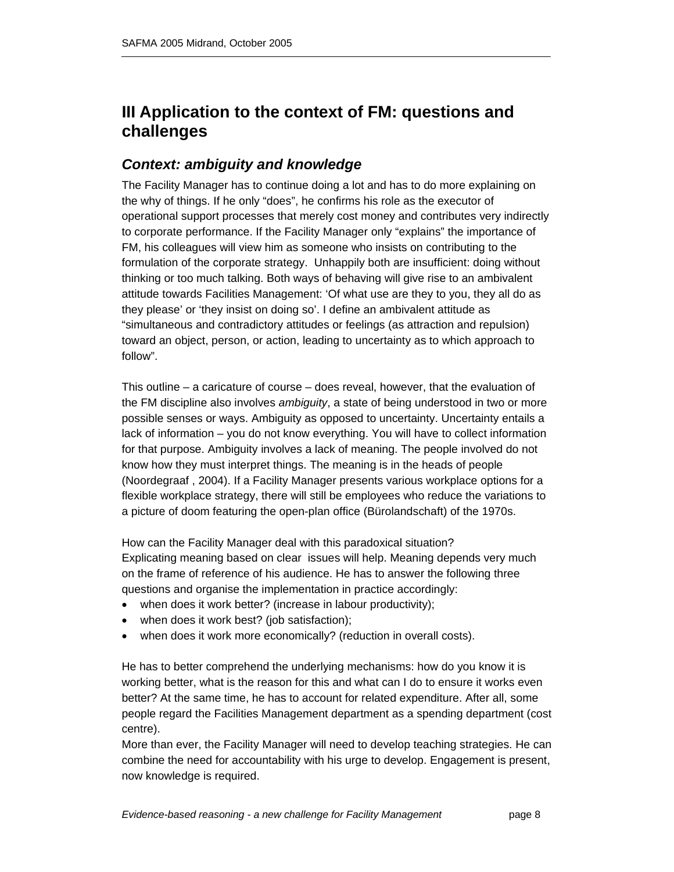## **III Application to the context of FM: questions and challenges**

### *Context: ambiguity and knowledge*

The Facility Manager has to continue doing a lot and has to do more explaining on the why of things. If he only "does", he confirms his role as the executor of operational support processes that merely cost money and contributes very indirectly to corporate performance. If the Facility Manager only "explains" the importance of FM, his colleagues will view him as someone who insists on contributing to the formulation of the corporate strategy. Unhappily both are insufficient: doing without thinking or too much talking. Both ways of behaving will give rise to an ambivalent attitude towards Facilities Management: 'Of what use are they to you, they all do as they please' or 'they insist on doing so'. I define an ambivalent attitude as "simultaneous and contradictory attitudes or feelings (as attraction and repulsion) toward an object, person, or action, leading to uncertainty as to which approach to follow".

This outline – a caricature of course – does reveal, however, that the evaluation of the FM discipline also involves *ambiguity*, a state of being understood in two or more possible senses or ways. Ambiguity as opposed to uncertainty. Uncertainty entails a lack of information – you do not know everything. You will have to collect information for that purpose. Ambiguity involves a lack of meaning. The people involved do not know how they must interpret things. The meaning is in the heads of people (Noordegraaf , 2004). If a Facility Manager presents various workplace options for a flexible workplace strategy, there will still be employees who reduce the variations to a picture of doom featuring the open-plan office (Bürolandschaft) of the 1970s.

How can the Facility Manager deal with this paradoxical situation? Explicating meaning based on clear issues will help. Meaning depends very much on the frame of reference of his audience. He has to answer the following three questions and organise the implementation in practice accordingly:

- when does it work better? (increase in labour productivity);
- when does it work best? (job satisfaction);
- when does it work more economically? (reduction in overall costs).

He has to better comprehend the underlying mechanisms: how do you know it is working better, what is the reason for this and what can I do to ensure it works even better? At the same time, he has to account for related expenditure. After all, some people regard the Facilities Management department as a spending department (cost centre).

More than ever, the Facility Manager will need to develop teaching strategies. He can combine the need for accountability with his urge to develop. Engagement is present, now knowledge is required.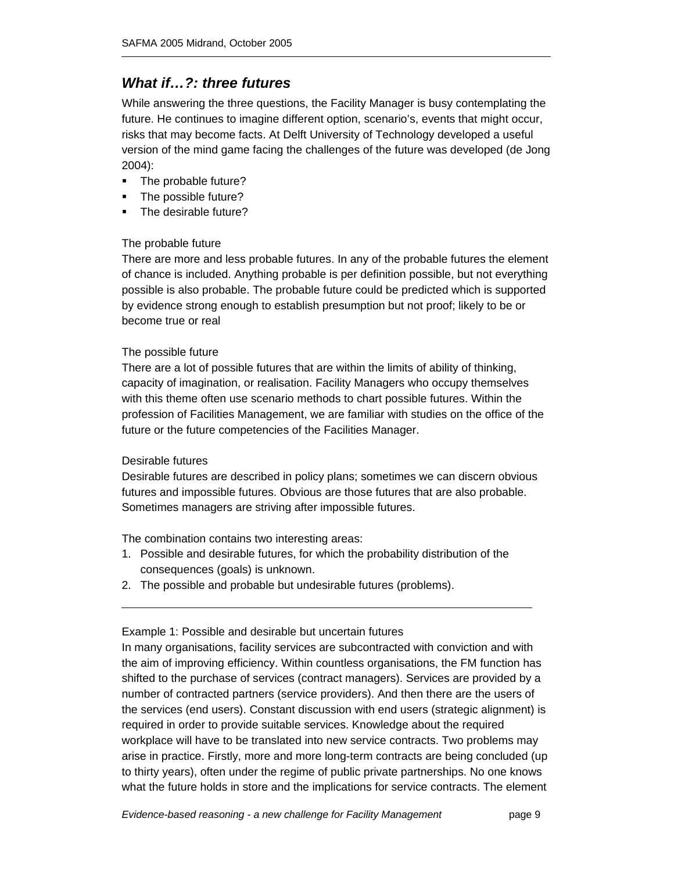### *What if…?: three futures*

While answering the three questions, the Facility Manager is busy contemplating the future. He continues to imagine different option, scenario's, events that might occur, risks that may become facts. At Delft University of Technology developed a useful version of the mind game facing the challenges of the future was developed (de Jong 2004):

- The probable future?
- **The possible future?**
- The desirable future?

#### The probable future

There are more and less probable futures. In any of the probable futures the element of chance is included. Anything probable is per definition possible, but not everything possible is also probable. The probable future could be predicted which is supported by evidence strong enough to establish presumption but not proof; likely to be or become true or real

#### The possible future

There are a lot of possible futures that are within the limits of ability of thinking, capacity of imagination, or realisation. Facility Managers who occupy themselves with this theme often use scenario methods to chart possible futures. Within the profession of Facilities Management, we are familiar with studies on the office of the future or the future competencies of the Facilities Manager.

#### Desirable futures

Desirable futures are described in policy plans; sometimes we can discern obvious futures and impossible futures. Obvious are those futures that are also probable. Sometimes managers are striving after impossible futures.

The combination contains two interesting areas:

- 1. Possible and desirable futures, for which the probability distribution of the consequences (goals) is unknown.
- 2. The possible and probable but undesirable futures (problems).

#### Example 1: Possible and desirable but uncertain futures

In many organisations, facility services are subcontracted with conviction and with the aim of improving efficiency. Within countless organisations, the FM function has shifted to the purchase of services (contract managers). Services are provided by a number of contracted partners (service providers). And then there are the users of the services (end users). Constant discussion with end users (strategic alignment) is required in order to provide suitable services. Knowledge about the required workplace will have to be translated into new service contracts. Two problems may arise in practice. Firstly, more and more long-term contracts are being concluded (up to thirty years), often under the regime of public private partnerships. No one knows what the future holds in store and the implications for service contracts. The element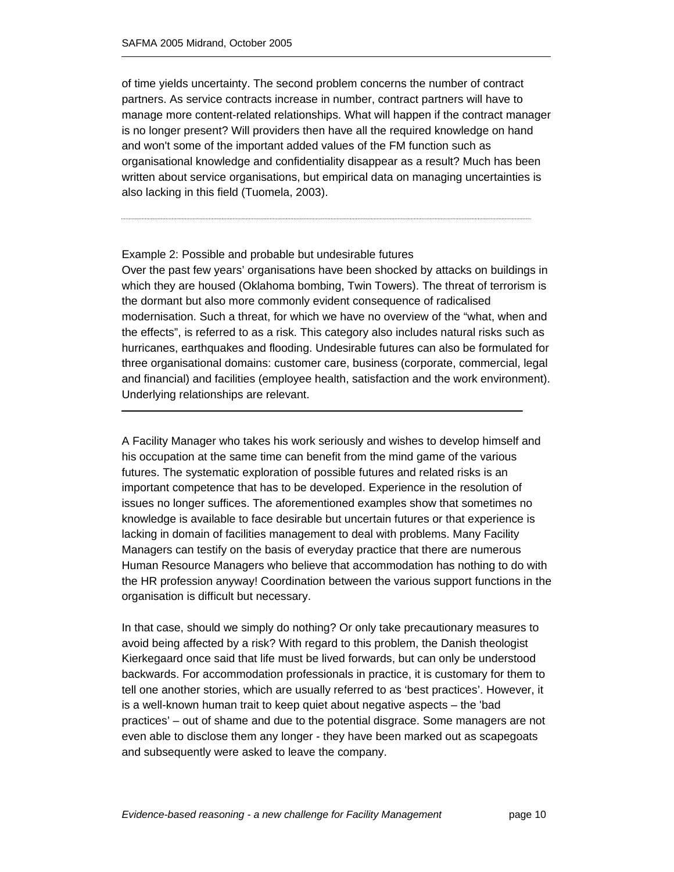of time yields uncertainty. The second problem concerns the number of contract partners. As service contracts increase in number, contract partners will have to manage more content-related relationships. What will happen if the contract manager is no longer present? Will providers then have all the required knowledge on hand and won't some of the important added values of the FM function such as organisational knowledge and confidentiality disappear as a result? Much has been written about service organisations, but empirical data on managing uncertainties is also lacking in this field (Tuomela, 2003).

#### Example 2: Possible and probable but undesirable futures

Over the past few years' organisations have been shocked by attacks on buildings in which they are housed (Oklahoma bombing, Twin Towers). The threat of terrorism is the dormant but also more commonly evident consequence of radicalised modernisation. Such a threat, for which we have no overview of the "what, when and the effects", is referred to as a risk. This category also includes natural risks such as hurricanes, earthquakes and flooding. Undesirable futures can also be formulated for three organisational domains: customer care, business (corporate, commercial, legal and financial) and facilities (employee health, satisfaction and the work environment). Underlying relationships are relevant.

A Facility Manager who takes his work seriously and wishes to develop himself and his occupation at the same time can benefit from the mind game of the various futures. The systematic exploration of possible futures and related risks is an important competence that has to be developed. Experience in the resolution of issues no longer suffices. The aforementioned examples show that sometimes no knowledge is available to face desirable but uncertain futures or that experience is lacking in domain of facilities management to deal with problems. Many Facility Managers can testify on the basis of everyday practice that there are numerous Human Resource Managers who believe that accommodation has nothing to do with the HR profession anyway! Coordination between the various support functions in the organisation is difficult but necessary.

In that case, should we simply do nothing? Or only take precautionary measures to avoid being affected by a risk? With regard to this problem, the Danish theologist Kierkegaard once said that life must be lived forwards, but can only be understood backwards. For accommodation professionals in practice, it is customary for them to tell one another stories, which are usually referred to as 'best practices'. However, it is a well-known human trait to keep quiet about negative aspects – the 'bad practices' – out of shame and due to the potential disgrace. Some managers are not even able to disclose them any longer - they have been marked out as scapegoats and subsequently were asked to leave the company.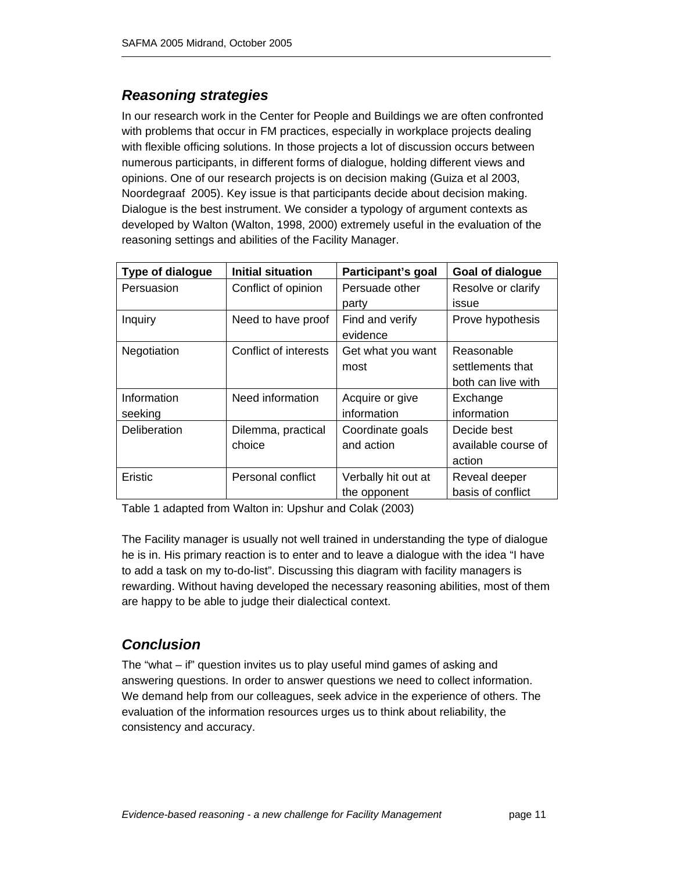## *Reasoning strategies*

In our research work in the Center for People and Buildings we are often confronted with problems that occur in FM practices, especially in workplace projects dealing with flexible officing solutions. In those projects a lot of discussion occurs between numerous participants, in different forms of dialogue, holding different views and opinions. One of our research projects is on decision making (Guiza et al 2003, Noordegraaf 2005). Key issue is that participants decide about decision making. Dialogue is the best instrument. We consider a typology of argument contexts as developed by Walton (Walton, 1998, 2000) extremely useful in the evaluation of the reasoning settings and abilities of the Facility Manager.

| <b>Type of dialogue</b> | <b>Initial situation</b> | Participant's goal  | Goal of dialogue    |
|-------------------------|--------------------------|---------------------|---------------------|
| Persuasion              | Conflict of opinion      | Persuade other      | Resolve or clarify  |
|                         |                          | party               | issue               |
| Inquiry                 | Need to have proof       | Find and verify     | Prove hypothesis    |
|                         |                          | evidence            |                     |
| Negotiation             | Conflict of interests    | Get what you want   | Reasonable          |
|                         |                          | most                | settlements that    |
|                         |                          |                     | both can live with  |
| Information             | Need information         | Acquire or give     | Exchange            |
| seeking                 |                          | information         | information         |
| Deliberation            | Dilemma, practical       | Coordinate goals    | Decide best         |
|                         | choice                   | and action          | available course of |
|                         |                          |                     | action              |
| Eristic                 | Personal conflict        | Verbally hit out at | Reveal deeper       |
|                         |                          | the opponent        | basis of conflict   |

Table 1 adapted from Walton in: Upshur and Colak (2003)

The Facility manager is usually not well trained in understanding the type of dialogue he is in. His primary reaction is to enter and to leave a dialogue with the idea "I have to add a task on my to-do-list". Discussing this diagram with facility managers is rewarding. Without having developed the necessary reasoning abilities, most of them are happy to be able to judge their dialectical context.

## *Conclusion*

The "what – if" question invites us to play useful mind games of asking and answering questions. In order to answer questions we need to collect information. We demand help from our colleagues, seek advice in the experience of others. The evaluation of the information resources urges us to think about reliability, the consistency and accuracy.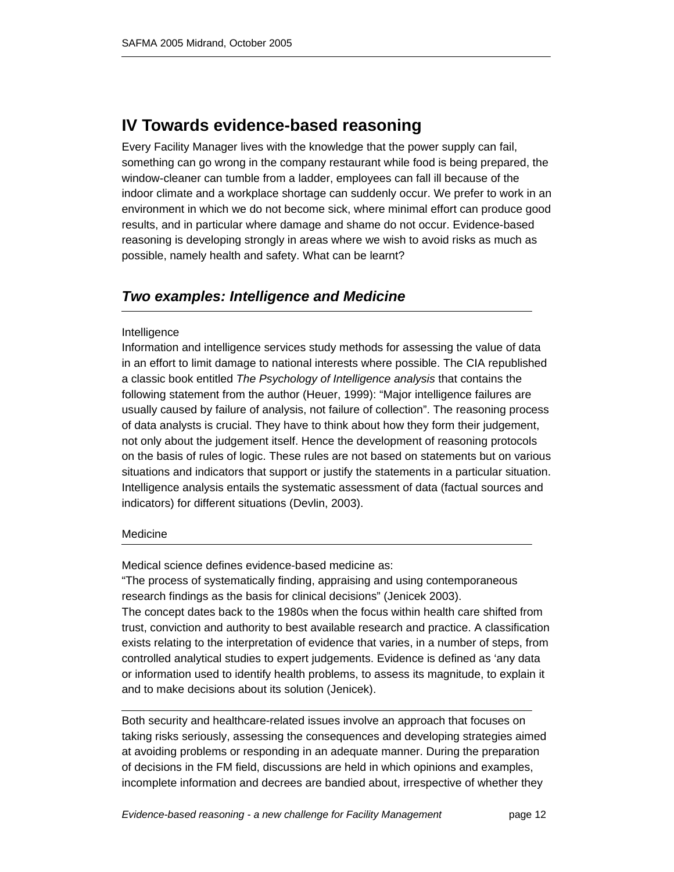## **IV Towards evidence-based reasoning**

Every Facility Manager lives with the knowledge that the power supply can fail, something can go wrong in the company restaurant while food is being prepared, the window-cleaner can tumble from a ladder, employees can fall ill because of the indoor climate and a workplace shortage can suddenly occur. We prefer to work in an environment in which we do not become sick, where minimal effort can produce good results, and in particular where damage and shame do not occur. Evidence-based reasoning is developing strongly in areas where we wish to avoid risks as much as possible, namely health and safety. What can be learnt?

### *Two examples: Intelligence and Medicine*

#### Intelligence

Ι

Information and intelligence services study methods for assessing the value of data in an effort to limit damage to national interests where possible. The CIA republished a classic book entitled *The Psychology of Intelligence analysis* that contains the following statement from the author (Heuer, 1999): "Major intelligence failures are usually caused by failure of analysis, not failure of collection". The reasoning process of data analysts is crucial. They have to think about how they form their judgement, not only about the judgement itself. Hence the development of reasoning protocols on the basis of rules of logic. These rules are not based on statements but on various situations and indicators that support or justify the statements in a particular situation. Intelligence analysis entails the systematic assessment of data (factual sources and indicators) for different situations (Devlin, 2003).

#### Medicine

Medical science defines evidence-based medicine as:

"The process of systematically finding, appraising and using contemporaneous research findings as the basis for clinical decisions" (Jenicek 2003).

The concept dates back to the 1980s when the focus within health care shifted from trust, conviction and authority to best available research and practice. A classification exists relating to the interpretation of evidence that varies, in a number of steps, from controlled analytical studies to expert judgements. Evidence is defined as 'any data or information used to identify health problems, to assess its magnitude, to explain it and to make decisions about its solution (Jenicek).

Both security and healthcare-related issues involve an approach that focuses on taking risks seriously, assessing the consequences and developing strategies aimed at avoiding problems or responding in an adequate manner. During the preparation of decisions in the FM field, discussions are held in which opinions and examples, incomplete information and decrees are bandied about, irrespective of whether they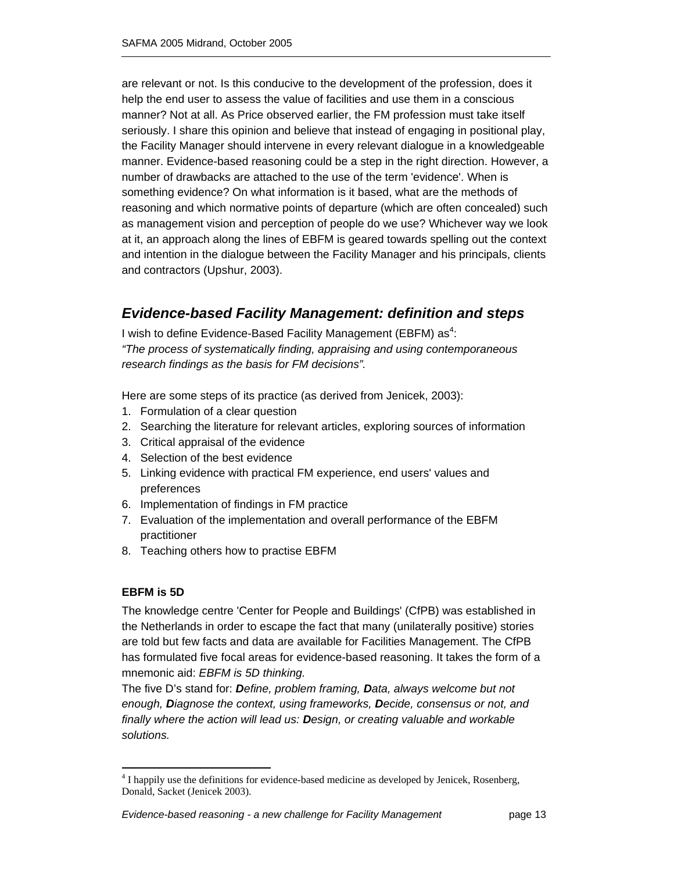are relevant or not. Is this conducive to the development of the profession, does it help the end user to assess the value of facilities and use them in a conscious manner? Not at all. As Price observed earlier, the FM profession must take itself seriously. I share this opinion and believe that instead of engaging in positional play, the Facility Manager should intervene in every relevant dialogue in a knowledgeable manner. Evidence-based reasoning could be a step in the right direction. However, a number of drawbacks are attached to the use of the term 'evidence'. When is something evidence? On what information is it based, what are the methods of reasoning and which normative points of departure (which are often concealed) such as management vision and perception of people do we use? Whichever way we look at it, an approach along the lines of EBFM is geared towards spelling out the context and intention in the dialogue between the Facility Manager and his principals, clients and contractors (Upshur, 2003).

## *Evidence-based Facility Management: definition and steps*

I wish to define Evidence-Based Facility Management (EBFM) as<sup>4</sup>: *"The process of systematically finding, appraising and using contemporaneous research findings as the basis for FM decisions".* 

Here are some steps of its practice (as derived from Jenicek, 2003):

- 1. Formulation of a clear question
- 2. Searching the literature for relevant articles, exploring sources of information
- 3. Critical appraisal of the evidence
- 4. Selection of the best evidence
- 5. Linking evidence with practical FM experience, end users' values and preferences
- 6. Implementation of findings in FM practice
- 7. Evaluation of the implementation and overall performance of the EBFM practitioner
- 8. Teaching others how to practise EBFM

#### **EBFM is 5D**

The knowledge centre 'Center for People and Buildings' (CfPB) was established in the Netherlands in order to escape the fact that many (unilaterally positive) stories are told but few facts and data are available for Facilities Management. The CfPB has formulated five focal areas for evidence-based reasoning. It takes the form of a mnemonic aid: *EBFM is 5D thinking.*

The five D's stand for: *Define, problem framing, Data, always welcome but not enough, Diagnose the context, using frameworks, Decide, consensus or not, and finally where the action will lead us: Design, or creating valuable and workable solutions.* 

 $\overline{a}$ <sup>4</sup> I happily use the definitions for evidence-based medicine as developed by Jenicek, Rosenberg, Donald, Sacket (Jenicek 2003).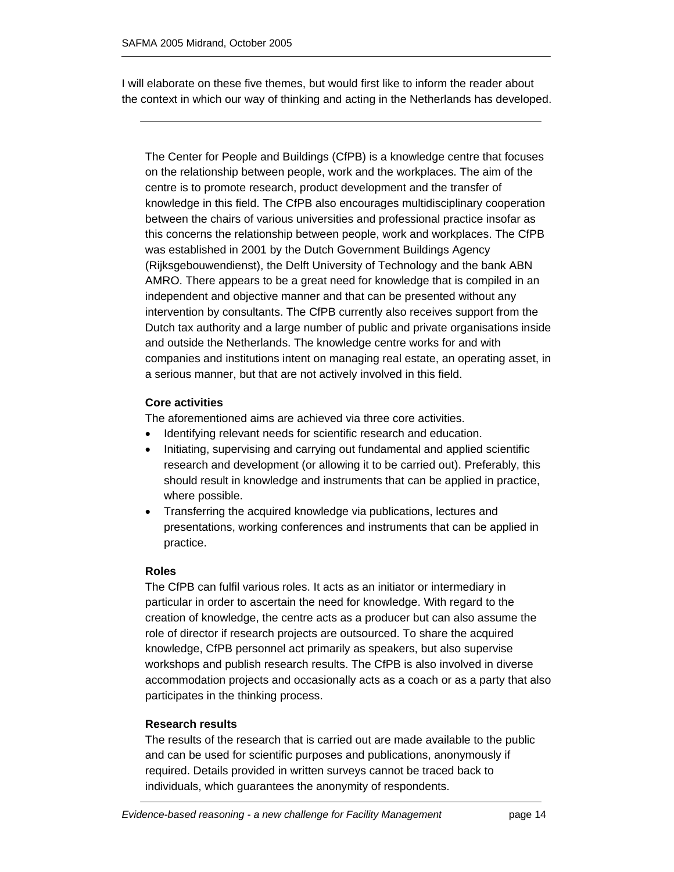I will elaborate on these five themes, but would first like to inform the reader about the context in which our way of thinking and acting in the Netherlands has developed.

The Center for People and Buildings (CfPB) is a knowledge centre that focuses on the relationship between people, work and the workplaces. The aim of the centre is to promote research, product development and the transfer of knowledge in this field. The CfPB also encourages multidisciplinary cooperation between the chairs of various universities and professional practice insofar as this concerns the relationship between people, work and workplaces. The CfPB was established in 2001 by the Dutch Government Buildings Agency (Rijksgebouwendienst), the Delft University of Technology and the bank ABN AMRO. There appears to be a great need for knowledge that is compiled in an independent and objective manner and that can be presented without any intervention by consultants. The CfPB currently also receives support from the Dutch tax authority and a large number of public and private organisations inside and outside the Netherlands. The knowledge centre works for and with companies and institutions intent on managing real estate, an operating asset, in a serious manner, but that are not actively involved in this field.

#### **Core activities**

The aforementioned aims are achieved via three core activities.

- Identifying relevant needs for scientific research and education.
- Initiating, supervising and carrying out fundamental and applied scientific research and development (or allowing it to be carried out). Preferably, this should result in knowledge and instruments that can be applied in practice, where possible.
- Transferring the acquired knowledge via publications, lectures and presentations, working conferences and instruments that can be applied in practice.

#### **Roles**

The CfPB can fulfil various roles. It acts as an initiator or intermediary in particular in order to ascertain the need for knowledge. With regard to the creation of knowledge, the centre acts as a producer but can also assume the role of director if research projects are outsourced. To share the acquired knowledge, CfPB personnel act primarily as speakers, but also supervise workshops and publish research results. The CfPB is also involved in diverse accommodation projects and occasionally acts as a coach or as a party that also participates in the thinking process.

#### **Research results**

The results of the research that is carried out are made available to the public and can be used for scientific purposes and publications, anonymously if required. Details provided in written surveys cannot be traced back to individuals, which guarantees the anonymity of respondents.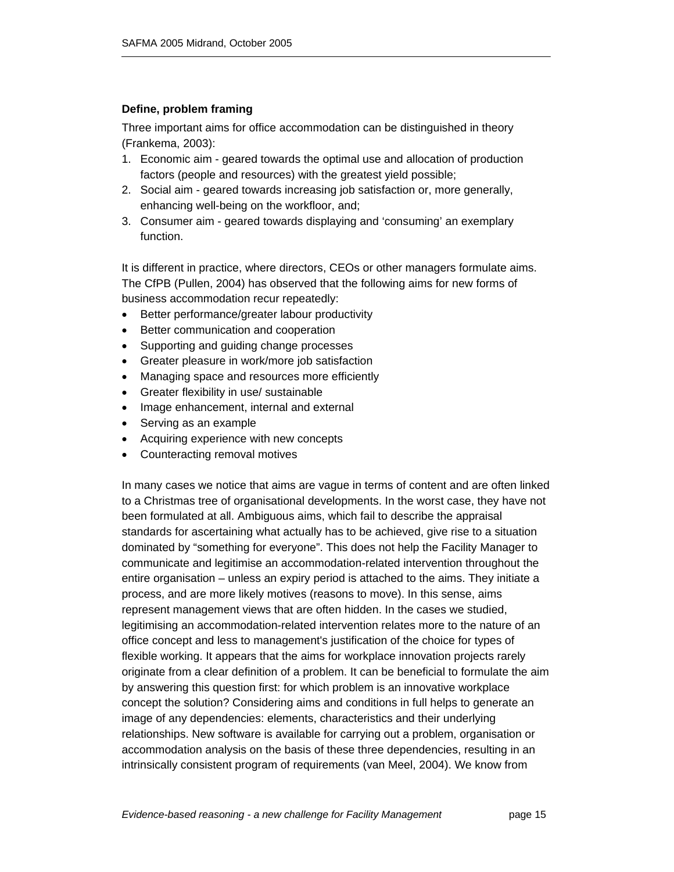#### **Define, problem framing**

Three important aims for office accommodation can be distinguished in theory (Frankema, 2003):

- 1. Economic aim geared towards the optimal use and allocation of production factors (people and resources) with the greatest yield possible;
- 2. Social aim geared towards increasing job satisfaction or, more generally, enhancing well-being on the workfloor, and;
- 3. Consumer aim geared towards displaying and 'consuming' an exemplary function.

It is different in practice, where directors, CEOs or other managers formulate aims. The CfPB (Pullen, 2004) has observed that the following aims for new forms of business accommodation recur repeatedly:

- Better performance/greater labour productivity
- Better communication and cooperation
- Supporting and guiding change processes
- Greater pleasure in work/more job satisfaction
- Managing space and resources more efficiently
- Greater flexibility in use/ sustainable
- Image enhancement, internal and external
- Serving as an example
- Acquiring experience with new concepts
- Counteracting removal motives

In many cases we notice that aims are vague in terms of content and are often linked to a Christmas tree of organisational developments. In the worst case, they have not been formulated at all. Ambiguous aims, which fail to describe the appraisal standards for ascertaining what actually has to be achieved, give rise to a situation dominated by "something for everyone". This does not help the Facility Manager to communicate and legitimise an accommodation-related intervention throughout the entire organisation – unless an expiry period is attached to the aims. They initiate a process, and are more likely motives (reasons to move). In this sense, aims represent management views that are often hidden. In the cases we studied, legitimising an accommodation-related intervention relates more to the nature of an office concept and less to management's justification of the choice for types of flexible working. It appears that the aims for workplace innovation projects rarely originate from a clear definition of a problem. It can be beneficial to formulate the aim by answering this question first: for which problem is an innovative workplace concept the solution? Considering aims and conditions in full helps to generate an image of any dependencies: elements, characteristics and their underlying relationships. New software is available for carrying out a problem, organisation or accommodation analysis on the basis of these three dependencies, resulting in an intrinsically consistent program of requirements (van Meel, 2004). We know from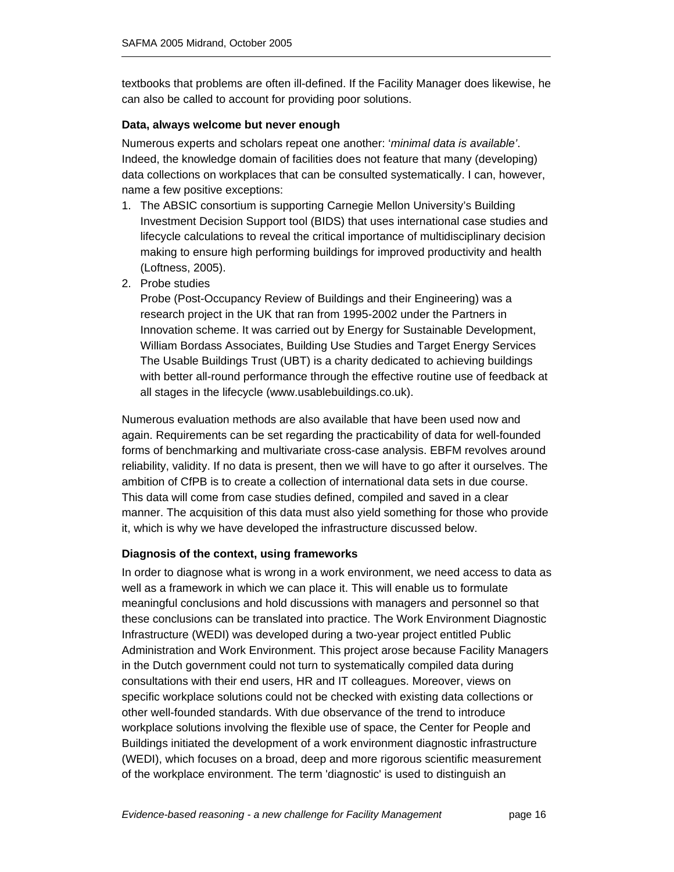textbooks that problems are often ill-defined. If the Facility Manager does likewise, he can also be called to account for providing poor solutions.

#### **Data, always welcome but never enough**

Numerous experts and scholars repeat one another: '*minimal data is available'*. Indeed, the knowledge domain of facilities does not feature that many (developing) data collections on workplaces that can be consulted systematically. I can, however, name a few positive exceptions:

- 1. The ABSIC consortium is supporting Carnegie Mellon University's Building Investment Decision Support tool (BIDS) that uses international case studies and lifecycle calculations to reveal the critical importance of multidisciplinary decision making to ensure high performing buildings for improved productivity and health (Loftness, 2005).
- 2. Probe studies

Probe (Post-Occupancy Review of Buildings and their Engineering) was a research project in the UK that ran from 1995-2002 under the Partners in Innovation scheme. It was carried out by Energy for Sustainable Development, William Bordass Associates, Building Use Studies and Target Energy Services The Usable Buildings Trust (UBT) is a charity dedicated to achieving buildings with better all-round performance through the effective routine use of feedback at all stages in the lifecycle (www.usablebuildings.co.uk).

Numerous evaluation methods are also available that have been used now and again. Requirements can be set regarding the practicability of data for well-founded forms of benchmarking and multivariate cross-case analysis. EBFM revolves around reliability, validity. If no data is present, then we will have to go after it ourselves. The ambition of CfPB is to create a collection of international data sets in due course. This data will come from case studies defined, compiled and saved in a clear manner. The acquisition of this data must also yield something for those who provide it, which is why we have developed the infrastructure discussed below.

#### **Diagnosis of the context, using frameworks**

In order to diagnose what is wrong in a work environment, we need access to data as well as a framework in which we can place it. This will enable us to formulate meaningful conclusions and hold discussions with managers and personnel so that these conclusions can be translated into practice. The Work Environment Diagnostic Infrastructure (WEDI) was developed during a two-year project entitled Public Administration and Work Environment. This project arose because Facility Managers in the Dutch government could not turn to systematically compiled data during consultations with their end users, HR and IT colleagues. Moreover, views on specific workplace solutions could not be checked with existing data collections or other well-founded standards. With due observance of the trend to introduce workplace solutions involving the flexible use of space, the Center for People and Buildings initiated the development of a work environment diagnostic infrastructure (WEDI), which focuses on a broad, deep and more rigorous scientific measurement of the workplace environment. The term 'diagnostic' is used to distinguish an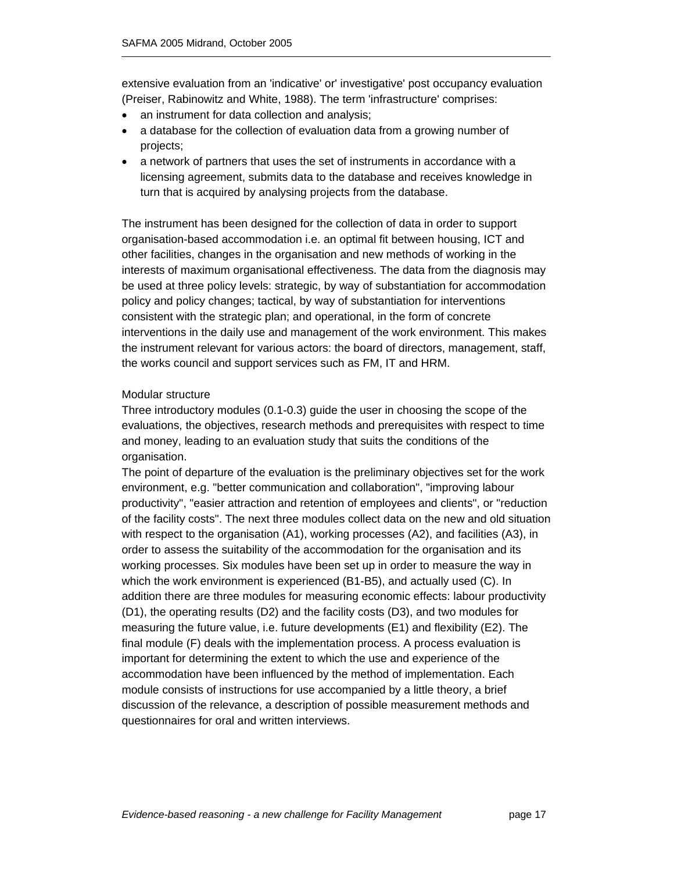extensive evaluation from an 'indicative' or' investigative' post occupancy evaluation (Preiser, Rabinowitz and White, 1988). The term 'infrastructure' comprises:

- an instrument for data collection and analysis;
- a database for the collection of evaluation data from a growing number of projects;
- a network of partners that uses the set of instruments in accordance with a licensing agreement, submits data to the database and receives knowledge in turn that is acquired by analysing projects from the database.

The instrument has been designed for the collection of data in order to support organisation-based accommodation i.e. an optimal fit between housing, ICT and other facilities, changes in the organisation and new methods of working in the interests of maximum organisational effectiveness. The data from the diagnosis may be used at three policy levels: strategic, by way of substantiation for accommodation policy and policy changes; tactical, by way of substantiation for interventions consistent with the strategic plan; and operational, in the form of concrete interventions in the daily use and management of the work environment. This makes the instrument relevant for various actors: the board of directors, management, staff, the works council and support services such as FM, IT and HRM.

#### Modular structure

Three introductory modules (0.1-0.3) guide the user in choosing the scope of the evaluations, the objectives, research methods and prerequisites with respect to time and money, leading to an evaluation study that suits the conditions of the organisation.

The point of departure of the evaluation is the preliminary objectives set for the work environment, e.g. "better communication and collaboration", "improving labour productivity", "easier attraction and retention of employees and clients", or "reduction of the facility costs". The next three modules collect data on the new and old situation with respect to the organisation (A1), working processes (A2), and facilities (A3), in order to assess the suitability of the accommodation for the organisation and its working processes. Six modules have been set up in order to measure the way in which the work environment is experienced (B1-B5), and actually used (C). In addition there are three modules for measuring economic effects: labour productivity (D1), the operating results (D2) and the facility costs (D3), and two modules for measuring the future value, i.e. future developments (E1) and flexibility (E2). The final module (F) deals with the implementation process. A process evaluation is important for determining the extent to which the use and experience of the accommodation have been influenced by the method of implementation. Each module consists of instructions for use accompanied by a little theory, a brief discussion of the relevance, a description of possible measurement methods and questionnaires for oral and written interviews.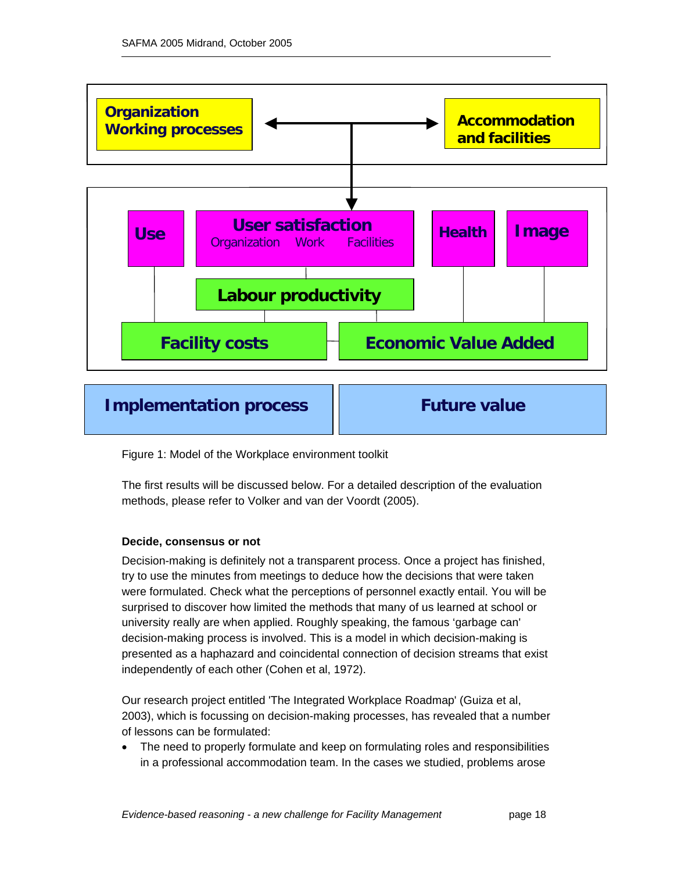

**Implementation process | Future value** 

Figure 1: Model of the Workplace environment toolkit

The first results will be discussed below. For a detailed description of the evaluation methods, please refer to Volker and van der Voordt (2005).

#### **Decide, consensus or not**

Decision-making is definitely not a transparent process. Once a project has finished, try to use the minutes from meetings to deduce how the decisions that were taken were formulated. Check what the perceptions of personnel exactly entail. You will be surprised to discover how limited the methods that many of us learned at school or university really are when applied. Roughly speaking, the famous 'garbage can' decision-making process is involved. This is a model in which decision-making is presented as a haphazard and coincidental connection of decision streams that exist independently of each other (Cohen et al, 1972).

Our research project entitled 'The Integrated Workplace Roadmap' (Guiza et al, 2003), which is focussing on decision-making processes, has revealed that a number of lessons can be formulated:

• The need to properly formulate and keep on formulating roles and responsibilities in a professional accommodation team. In the cases we studied, problems arose

*Evidence-based reasoning - a new challenge for Facility Management* page 18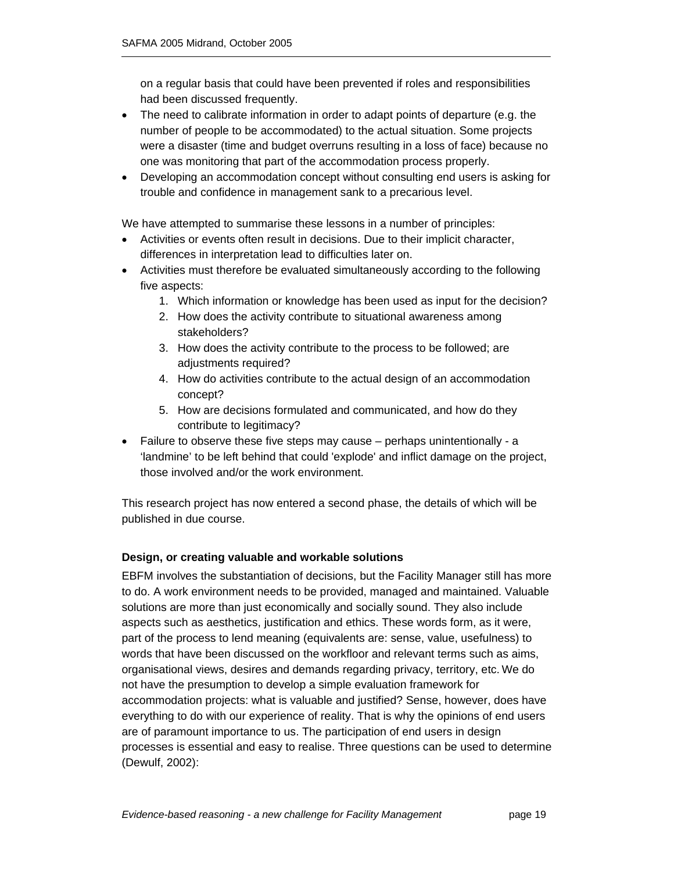on a regular basis that could have been prevented if roles and responsibilities had been discussed frequently.

- The need to calibrate information in order to adapt points of departure (e.g. the number of people to be accommodated) to the actual situation. Some projects were a disaster (time and budget overruns resulting in a loss of face) because no one was monitoring that part of the accommodation process properly.
- Developing an accommodation concept without consulting end users is asking for trouble and confidence in management sank to a precarious level.

We have attempted to summarise these lessons in a number of principles:

- Activities or events often result in decisions. Due to their implicit character, differences in interpretation lead to difficulties later on.
- Activities must therefore be evaluated simultaneously according to the following five aspects:
	- 1. Which information or knowledge has been used as input for the decision?
	- 2. How does the activity contribute to situational awareness among stakeholders?
	- 3. How does the activity contribute to the process to be followed; are adjustments required?
	- 4. How do activities contribute to the actual design of an accommodation concept?
	- 5. How are decisions formulated and communicated, and how do they contribute to legitimacy?
- Failure to observe these five steps may cause perhaps unintentionally a 'landmine' to be left behind that could 'explode' and inflict damage on the project, those involved and/or the work environment.

This research project has now entered a second phase, the details of which will be published in due course.

#### **Design, or creating valuable and workable solutions**

EBFM involves the substantiation of decisions, but the Facility Manager still has more to do. A work environment needs to be provided, managed and maintained. Valuable solutions are more than just economically and socially sound. They also include aspects such as aesthetics, justification and ethics. These words form, as it were, part of the process to lend meaning (equivalents are: sense, value, usefulness) to words that have been discussed on the workfloor and relevant terms such as aims, organisational views, desires and demands regarding privacy, territory, etc. We do not have the presumption to develop a simple evaluation framework for accommodation projects: what is valuable and justified? Sense, however, does have everything to do with our experience of reality. That is why the opinions of end users are of paramount importance to us. The participation of end users in design processes is essential and easy to realise. Three questions can be used to determine (Dewulf, 2002):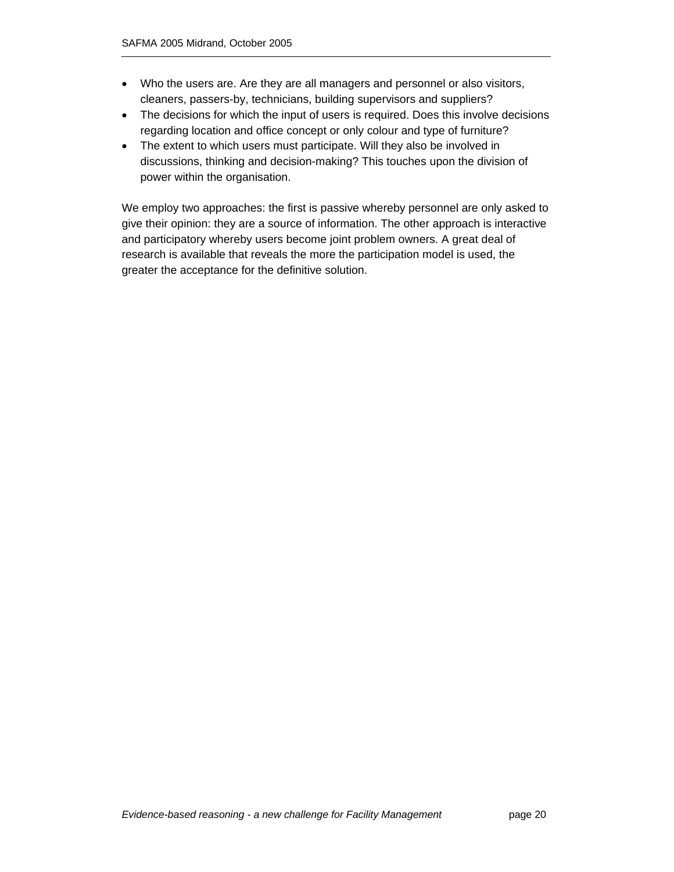- Who the users are. Are they are all managers and personnel or also visitors, cleaners, passers-by, technicians, building supervisors and suppliers?
- The decisions for which the input of users is required. Does this involve decisions regarding location and office concept or only colour and type of furniture?
- The extent to which users must participate. Will they also be involved in discussions, thinking and decision-making? This touches upon the division of power within the organisation.

We employ two approaches: the first is passive whereby personnel are only asked to give their opinion: they are a source of information. The other approach is interactive and participatory whereby users become joint problem owners. A great deal of research is available that reveals the more the participation model is used, the greater the acceptance for the definitive solution.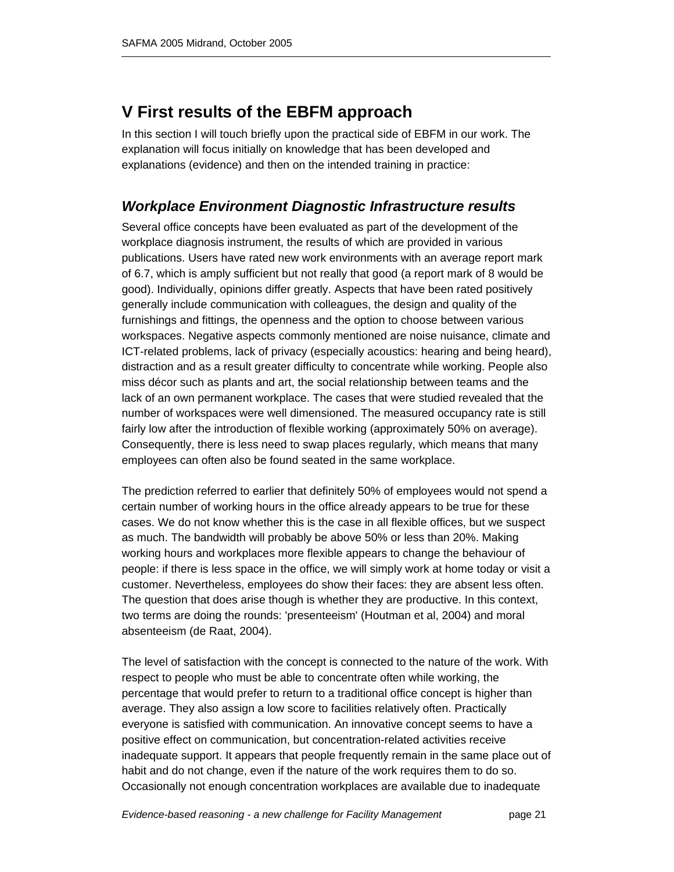## **V First results of the EBFM approach**

In this section I will touch briefly upon the practical side of EBFM in our work. The explanation will focus initially on knowledge that has been developed and explanations (evidence) and then on the intended training in practice:

## *Workplace Environment Diagnostic Infrastructure results*

Several office concepts have been evaluated as part of the development of the workplace diagnosis instrument, the results of which are provided in various publications. Users have rated new work environments with an average report mark of 6.7, which is amply sufficient but not really that good (a report mark of 8 would be good). Individually, opinions differ greatly. Aspects that have been rated positively generally include communication with colleagues, the design and quality of the furnishings and fittings, the openness and the option to choose between various workspaces. Negative aspects commonly mentioned are noise nuisance, climate and ICT-related problems, lack of privacy (especially acoustics: hearing and being heard), distraction and as a result greater difficulty to concentrate while working. People also miss décor such as plants and art, the social relationship between teams and the lack of an own permanent workplace. The cases that were studied revealed that the number of workspaces were well dimensioned. The measured occupancy rate is still fairly low after the introduction of flexible working (approximately 50% on average). Consequently, there is less need to swap places regularly, which means that many employees can often also be found seated in the same workplace.

The prediction referred to earlier that definitely 50% of employees would not spend a certain number of working hours in the office already appears to be true for these cases. We do not know whether this is the case in all flexible offices, but we suspect as much. The bandwidth will probably be above 50% or less than 20%. Making working hours and workplaces more flexible appears to change the behaviour of people: if there is less space in the office, we will simply work at home today or visit a customer. Nevertheless, employees do show their faces: they are absent less often. The question that does arise though is whether they are productive. In this context, two terms are doing the rounds: 'presenteeism' (Houtman et al, 2004) and moral absenteeism (de Raat, 2004).

The level of satisfaction with the concept is connected to the nature of the work. With respect to people who must be able to concentrate often while working, the percentage that would prefer to return to a traditional office concept is higher than average. They also assign a low score to facilities relatively often. Practically everyone is satisfied with communication. An innovative concept seems to have a positive effect on communication, but concentration-related activities receive inadequate support. It appears that people frequently remain in the same place out of habit and do not change, even if the nature of the work requires them to do so. Occasionally not enough concentration workplaces are available due to inadequate

*Evidence-based reasoning - a new challenge for Facility Management* page 21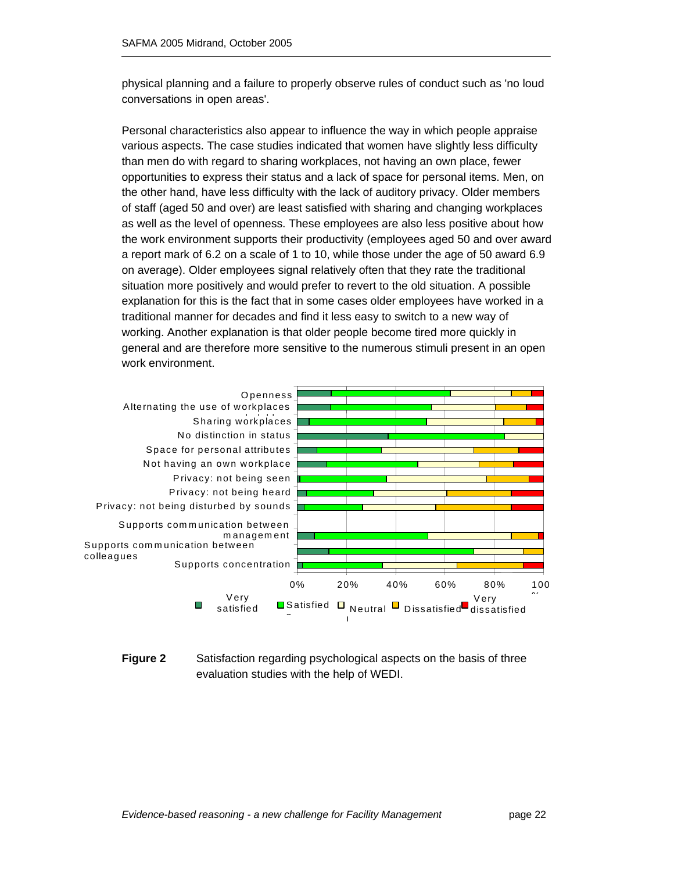physical planning and a failure to properly observe rules of conduct such as 'no loud conversations in open areas'.

Personal characteristics also appear to influence the way in which people appraise various aspects. The case studies indicated that women have slightly less difficulty than men do with regard to sharing workplaces, not having an own place, fewer opportunities to express their status and a lack of space for personal items. Men, on the other hand, have less difficulty with the lack of auditory privacy. Older members of staff (aged 50 and over) are least satisfied with sharing and changing workplaces as well as the level of openness. These employees are also less positive about how the work environment supports their productivity (employees aged 50 and over award a report mark of 6.2 on a scale of 1 to 10, while those under the age of 50 award 6.9 on average). Older employees signal relatively often that they rate the traditional situation more positively and would prefer to revert to the old situation. A possible explanation for this is the fact that in some cases older employees have worked in a traditional manner for decades and find it less easy to switch to a new way of working. Another explanation is that older people become tired more quickly in general and are therefore more sensitive to the numerous stimuli present in an open work environment.



**Figure 2** Satisfaction regarding psychological aspects on the basis of three evaluation studies with the help of WEDI.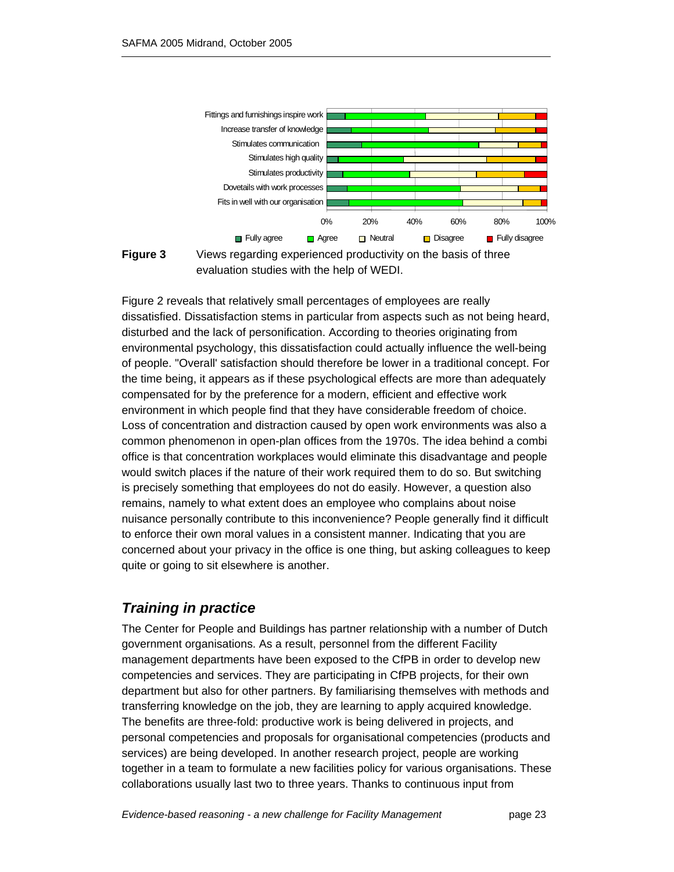



**Figure 3** Views regarding experienced productivity on the basis of three evaluation studies with the help of WEDI.

Figure 2 reveals that relatively small percentages of employees are really dissatisfied. Dissatisfaction stems in particular from aspects such as not being heard, disturbed and the lack of personification. According to theories originating from environmental psychology, this dissatisfaction could actually influence the well-being of people. "Overall' satisfaction should therefore be lower in a traditional concept. For the time being, it appears as if these psychological effects are more than adequately compensated for by the preference for a modern, efficient and effective work environment in which people find that they have considerable freedom of choice. Loss of concentration and distraction caused by open work environments was also a common phenomenon in open-plan offices from the 1970s. The idea behind a combi office is that concentration workplaces would eliminate this disadvantage and people would switch places if the nature of their work required them to do so. But switching is precisely something that employees do not do easily. However, a question also remains, namely to what extent does an employee who complains about noise nuisance personally contribute to this inconvenience? People generally find it difficult to enforce their own moral values in a consistent manner. Indicating that you are concerned about your privacy in the office is one thing, but asking colleagues to keep quite or going to sit elsewhere is another.

## *Training in practice*

The Center for People and Buildings has partner relationship with a number of Dutch government organisations. As a result, personnel from the different Facility management departments have been exposed to the CfPB in order to develop new competencies and services. They are participating in CfPB projects, for their own department but also for other partners. By familiarising themselves with methods and transferring knowledge on the job, they are learning to apply acquired knowledge. The benefits are three-fold: productive work is being delivered in projects, and personal competencies and proposals for organisational competencies (products and services) are being developed. In another research project, people are working together in a team to formulate a new facilities policy for various organisations. These collaborations usually last two to three years. Thanks to continuous input from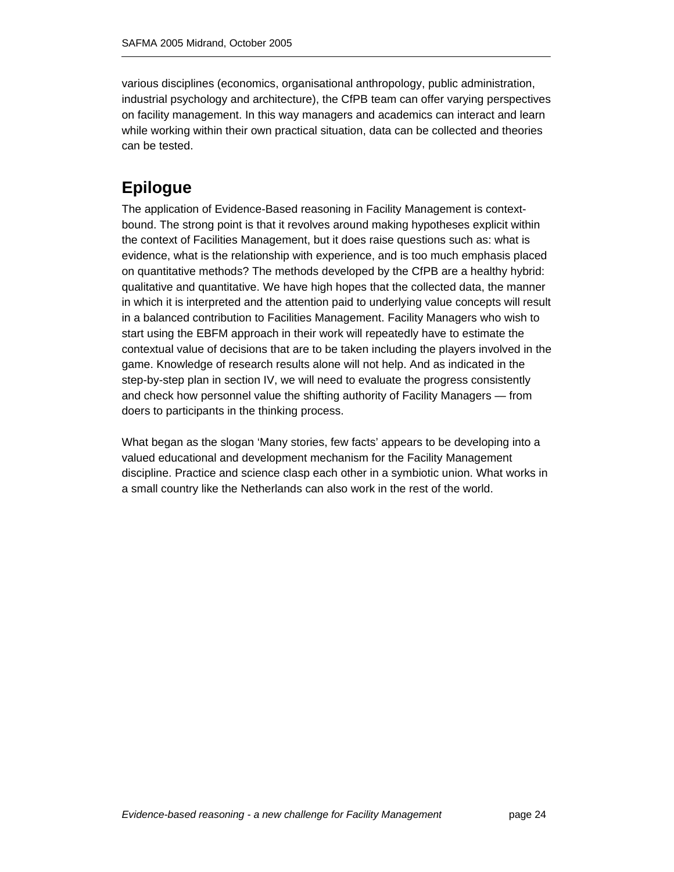various disciplines (economics, organisational anthropology, public administration, industrial psychology and architecture), the CfPB team can offer varying perspectives on facility management. In this way managers and academics can interact and learn while working within their own practical situation, data can be collected and theories can be tested.

## **Epilogue**

The application of Evidence-Based reasoning in Facility Management is contextbound. The strong point is that it revolves around making hypotheses explicit within the context of Facilities Management, but it does raise questions such as: what is evidence, what is the relationship with experience, and is too much emphasis placed on quantitative methods? The methods developed by the CfPB are a healthy hybrid: qualitative and quantitative. We have high hopes that the collected data, the manner in which it is interpreted and the attention paid to underlying value concepts will result in a balanced contribution to Facilities Management. Facility Managers who wish to start using the EBFM approach in their work will repeatedly have to estimate the contextual value of decisions that are to be taken including the players involved in the game. Knowledge of research results alone will not help. And as indicated in the step-by-step plan in section IV, we will need to evaluate the progress consistently and check how personnel value the shifting authority of Facility Managers — from doers to participants in the thinking process.

What began as the slogan 'Many stories, few facts' appears to be developing into a valued educational and development mechanism for the Facility Management discipline. Practice and science clasp each other in a symbiotic union. What works in a small country like the Netherlands can also work in the rest of the world.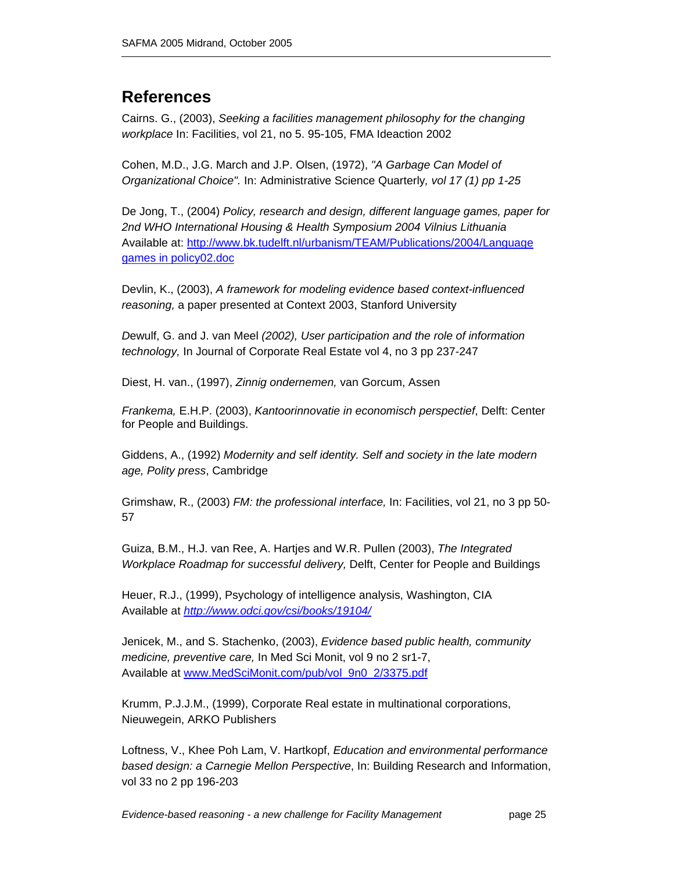## **References**

Cairns. G., (2003), *Seeking a facilities management philosophy for the changing workplace* In: Facilities, vol 21, no 5. 95-105, FMA Ideaction 2002

Cohen, M.D., J.G. March and J.P. Olsen, (1972), *"A Garbage Can Model of Organizational Choice".* In: Administrative Science Quarterly*, vol 17 (1) pp 1-25*

De Jong, T., (2004) *Policy, research and design, different language games, paper for 2nd WHO International Housing & Health Symposium 2004 Vilnius Lithuania* Available at: http://www.bk.tudelft.nl/urbanism/TEAM/Publications/2004/Language games in policy02.doc

Devlin, K., (2003), *A framework for modeling evidence based context-influenced reasoning,* a paper presented at Context 2003, Stanford University

*D*ewulf, G. and J. van Meel *(2002), User participation and the role of information technology,* In Journal of Corporate Real Estate vol 4, no 3 pp 237-247

Diest, H. van., (1997), *Zinnig ondernemen,* van Gorcum, Assen

*Frankema,* E.H.P. (2003), *Kantoorinnovatie in economisch perspectief*, Delft: Center for People and Buildings.

Giddens, A., (1992) *Modernity and self identity. Self and society in the late modern age, Polity press*, Cambridge

Grimshaw, R., (2003) *FM: the professional interface,* In: Facilities, vol 21, no 3 pp 50- 57

Guiza, B.M., H.J. van Ree, A. Hartjes and W.R. Pullen (2003), *The Integrated Workplace Roadmap for successful delivery,* Delft, Center for People and Buildings

Heuer, R.J., (1999), Psychology of intelligence analysis, Washington, CIA Available at *http://www.odci.gov/csi/books/19104/*

Jenicek, M., and S. Stachenko, (2003), *Evidence based public health, community medicine, preventive care,* In Med Sci Monit, vol 9 no 2 sr1-7, Available at www.MedSciMonit.com/pub/vol\_9n0\_2/3375.pdf

Krumm, P.J.J.M., (1999), Corporate Real estate in multinational corporations, Nieuwegein, ARKO Publishers

Loftness, V., Khee Poh Lam, V. Hartkopf, *Education and environmental performance based design: a Carnegie Mellon Perspective*, In: Building Research and Information, vol 33 no 2 pp 196-203